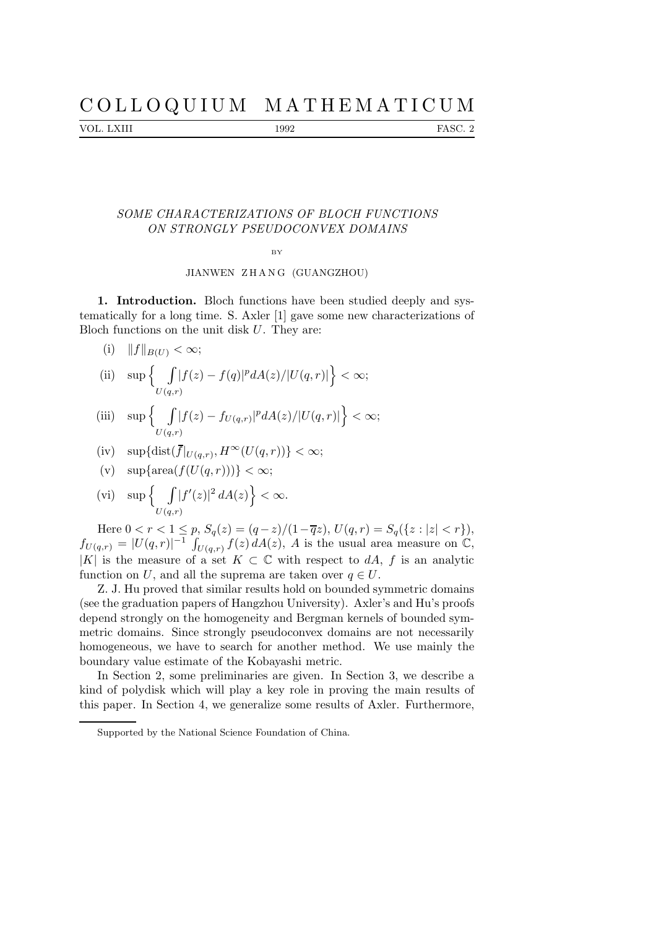# C O L L O Q U I U M M A T H E M A T I C U M

VOL. LXIII 1992 FASC. 2

## SOME CHARACTERIZATIONS OF BLOCH FUNCTIONS ON STRONGLY PSEUDOCONVEX DOMAINS

#### **B**V

## JIANWEN ZHANG (GUANGZHOU)

1. Introduction. Bloch functions have been studied deeply and systematically for a long time. S. Axler [1] gave some new characterizations of Bloch functions on the unit disk  $U$ . They are:

- (i)  $||f||_{B(U)} < \infty;$
- (ii)  $\sup$  |  $U(q,r)$  $|f(z)-f(q)|^p dA(z)/|U(q,r)|\big\}<\infty;$

(iii) 
$$
\sup \left\{ \int_{U(q,r)} |f(z) - f_{U(q,r)}|^p dA(z) / |U(q,r)| \right\} < \infty;
$$

(iv) sup{dist(
$$
\overline{f}|_{U(q,r)}, H^{\infty}(U(q,r))
$$
}  $< \infty$ ;

- (v)  $\sup{\arctan(f(U(q, r)))} < \infty;$
- (vi)  $\sup$  { |  $U(q,r)$  $|f'(z)|^2 dA(z)\big\} < \infty.$

Here  $0 < r < 1 \le p$ ,  $S_q(z) = (q-z)/(1-\overline{q}z)$ ,  $U(q,r) = S_q({z : |z| < r}),$  $f_{U(q,r)} = |U(q,r)|^{-1} \int_{U(q,r)} f(z) dA(z)$ , A is the usual area measure on  $\mathbb{C}$ , |K| is the measure of a set  $K \subset \mathbb{C}$  with respect to dA, f is an analytic function on U, and all the suprema are taken over  $q \in U$ .

Z. J. Hu proved that similar results hold on bounded symmetric domains (see the graduation papers of Hangzhou University). Axler's and Hu's proofs depend strongly on the homogeneity and Bergman kernels of bounded symmetric domains. Since strongly pseudoconvex domains are not necessarily homogeneous, we have to search for another method. We use mainly the boundary value estimate of the Kobayashi metric.

In Section 2, some preliminaries are given. In Section 3, we describe a kind of polydisk which will play a key role in proving the main results of this paper. In Section 4, we generalize some results of Axler. Furthermore,

Supported by the National Science Foundation of China.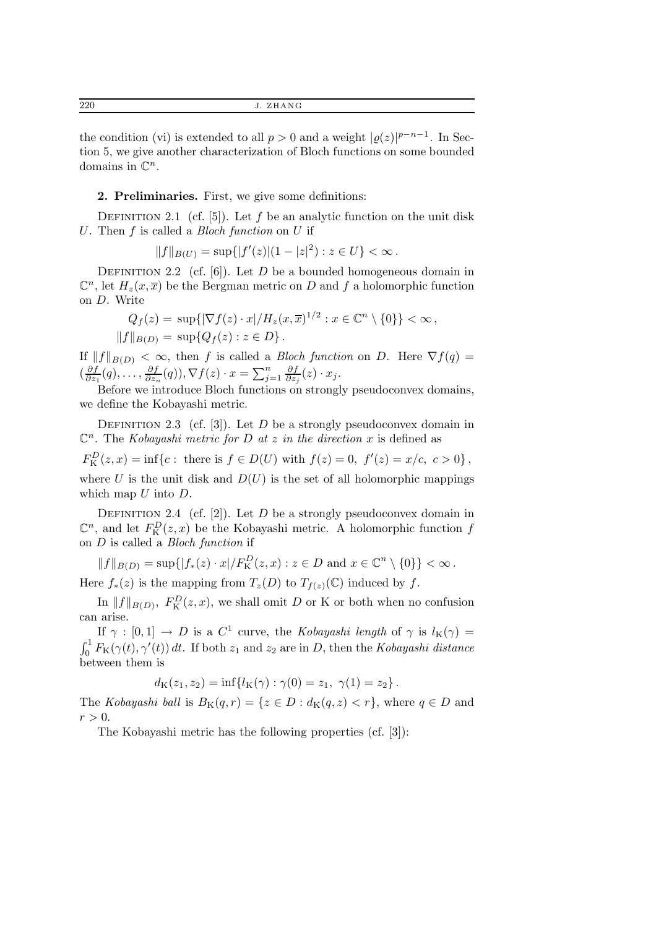the condition (vi) is extended to all  $p > 0$  and a weight  $|g(z)|^{p-n-1}$ . In Section 5, we give another characterization of Bloch functions on some bounded domains in  $\mathbb{C}^n$ .

2. Preliminaries. First, we give some definitions:

DEFINITION 2.1 (cf. [5]). Let f be an analytic function on the unit disk U. Then  $f$  is called a *Bloch function* on  $U$  if

$$
||f||_{B(U)} = \sup\{|f'(z)|(1-|z|^2) : z \in U\} < \infty.
$$

DEFINITION 2.2 (cf.  $[6]$ ). Let D be a bounded homogeneous domain in  $\mathbb{C}^n$ , let  $H_z(x,\overline{x})$  be the Bergman metric on D and f a holomorphic function on D. Write

$$
Q_f(z) = \sup\{|\nabla f(z) \cdot x| / H_z(x, \overline{x})^{1/2} : x \in \mathbb{C}^n \setminus \{0\}\} < \infty,
$$
  
 
$$
||f||_{B(D)} = \sup\{Q_f(z) : z \in D\}.
$$

If  $||f||_{B(D)} < \infty$ , then f is called a *Bloch function* on D. Here  $\nabla f(q) =$  $\left(\frac{\partial f}{\partial z}\right)$  $\frac{\partial f}{\partial z_1}(q),\ldots,\frac{\partial f}{\partial z_n}$  $\frac{\partial f}{\partial z_n}(q)$ ,  $\nabla f(z) \cdot x = \sum_{j=1}^n$ ∂f  $\frac{\partial f}{\partial z_j}(z) \cdot x_j.$ 

Before we introduce Bloch functions on strongly pseudoconvex domains, we define the Kobayashi metric.

DEFINITION 2.3 (cf. [3]). Let D be a strongly pseudoconvex domain in  $\mathbb{C}^n$ . The Kobayashi metric for D at z in the direction x is defined as  $F_{\rm K}^{D}(z,x) = \inf\{c: \text{ there is } f \in D(U) \text{ with } f(z) = 0, \ f'(z) = x/c, \ c > 0\},\$ 

where U is the unit disk and  $D(U)$  is the set of all holomorphic mappings which map  $U$  into  $D$ .

DEFINITION 2.4 (cf. [2]). Let  $D$  be a strongly pseudoconvex domain in  $\mathbb{C}^n$ , and let  $F_K^D(z, x)$  be the Kobayashi metric. A holomorphic function f on D is called a Bloch function if

 $||f||_{B(D)} = \sup\{|f_*(z) \cdot x| / F_K^D(z, x) : z \in D \text{ and } x \in \mathbb{C}^n \setminus \{0\}\} < \infty.$ 

Here  $f_*(z)$  is the mapping from  $T_z(D)$  to  $T_{f(z)}(\mathbb{C})$  induced by f.

In  $||f||_{B(D)}$ ,  $F_K^D(z, x)$ , we shall omit D or K or both when no confusion can arise.

If  $\gamma : [0,1] \to D$  is a  $C^1$  curve, the Kobayashi length of  $\gamma$  is  $l_K(\gamma) =$  $\int_0^1 F_K(\gamma(t), \gamma'(t)) dt$ . If both  $z_1$  and  $z_2$  are in D, then the Kobayashi distance between them is

$$
d_{\mathcal{K}}(z_1, z_2) = \inf \{ l_{\mathcal{K}}(\gamma) : \gamma(0) = z_1, \ \gamma(1) = z_2 \}.
$$

The Kobayashi ball is  $B_K(q,r) = \{z \in D : d_K(q,z) < r\}$ , where  $q \in D$  and  $r > 0$ .

The Kobayashi metric has the following properties (cf. [3]):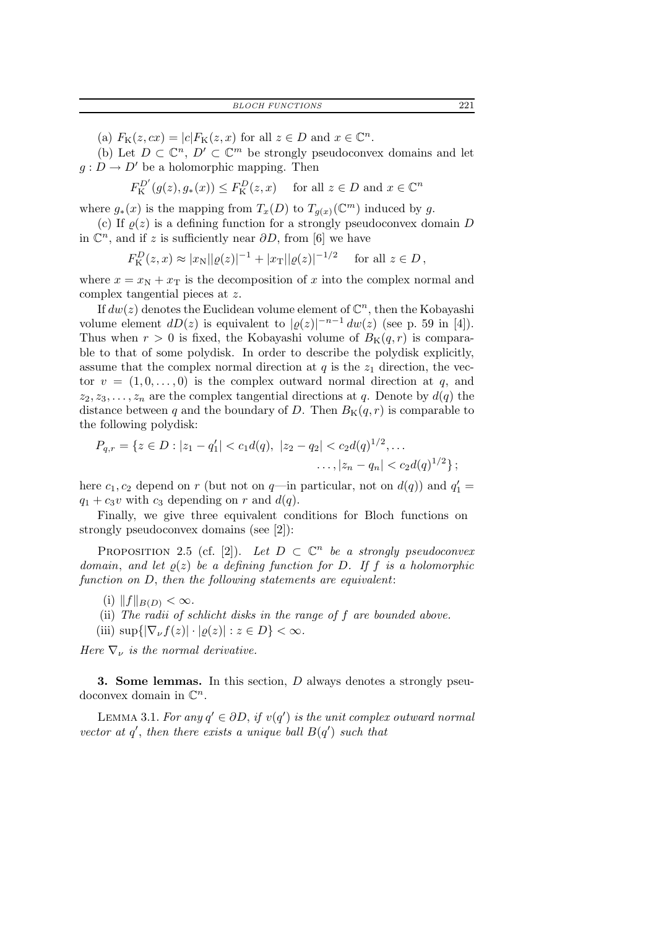(a)  $F_{\mathcal{K}}(z, cx) = |c| F_{\mathcal{K}}(z, x)$  for all  $z \in D$  and  $x \in \mathbb{C}^n$ .

(b) Let  $D \subset \mathbb{C}^n$ ,  $D' \subset \mathbb{C}^m$  be strongly pseudoconvex domains and let  $g: D \to D'$  be a holomorphic mapping. Then

 $F_{\mathcal{K}}^{D'}(g(z), g_*(x)) \le F_{\mathcal{K}}^D(z, x)$  for all  $z \in D$  and  $x \in \mathbb{C}^n$ 

where  $g_*(x)$  is the mapping from  $T_x(D)$  to  $T_{g(x)}(\mathbb{C}^m)$  induced by g.

(c) If  $\rho(z)$  is a defining function for a strongly pseudoconvex domain D in  $\mathbb{C}^n$ , and if z is sufficiently near  $\partial D$ , from [6] we have

$$
F_{\mathcal{K}}^{D}(z,x) \approx |x_{\mathcal{N}}||\varrho(z)|^{-1} + |x_{\mathcal{T}}||\varrho(z)|^{-1/2} \quad \text{ for all } z \in D,
$$

where  $x = x_N + x_T$  is the decomposition of x into the complex normal and complex tangential pieces at z.

If  $dw(z)$  denotes the Euclidean volume element of  $\mathbb{C}^n$ , then the Kobayashi volume element  $dD(z)$  is equivalent to  $|\varrho(z)|^{-n-1} dw(z)$  (see p. 59 in [4]). Thus when  $r > 0$  is fixed, the Kobayashi volume of  $B_K(q, r)$  is comparable to that of some polydisk. In order to describe the polydisk explicitly, assume that the complex normal direction at  $q$  is the  $z_1$  direction, the vector  $v = (1, 0, \ldots, 0)$  is the complex outward normal direction at q, and  $z_2, z_3, \ldots, z_n$  are the complex tangential directions at q. Denote by  $d(q)$  the distance between q and the boundary of D. Then  $B_K(q, r)$  is comparable to the following polydisk:

$$
P_{q,r} = \{ z \in D : |z_1 - q_1'| < c_1 d(q), |z_2 - q_2| < c_2 d(q)^{1/2}, \dots
$$
  
 
$$
\dots, |z_n - q_n| < c_2 d(q)^{1/2} \};
$$

here  $c_1, c_2$  depend on r (but not on  $q$ —in particular, not on  $d(q)$ ) and  $q'_1 =$  $q_1 + c_3v$  with  $c_3$  depending on r and  $d(q)$ .

Finally, we give three equivalent conditions for Bloch functions on strongly pseudoconvex domains (see [2]):

PROPOSITION 2.5 (cf. [2]). Let  $D \subset \mathbb{C}^n$  be a strongly pseudoconvex domain, and let  $\rho(z)$  be a defining function for D. If f is a holomorphic function on D, then the following statements are equivalent:

- (i)  $||f||_{B(D)} < \infty$ .
- (ii) The radii of schlicht disks in the range of f are bounded above.

(iii)  $\sup\{|\nabla_{\nu}f(z)|\cdot|\varrho(z)| : z\in D\}<\infty$ .

Here  $\nabla_{\nu}$  is the normal derivative.

3. Some lemmas. In this section, D always denotes a strongly pseudoconvex domain in  $\mathbb{C}^n$ .

LEMMA 3.1. For any  $q' \in \partial D$ , if  $v(q')$  is the unit complex outward normal vector at  $q'$ , then there exists a unique ball  $B(q')$  such that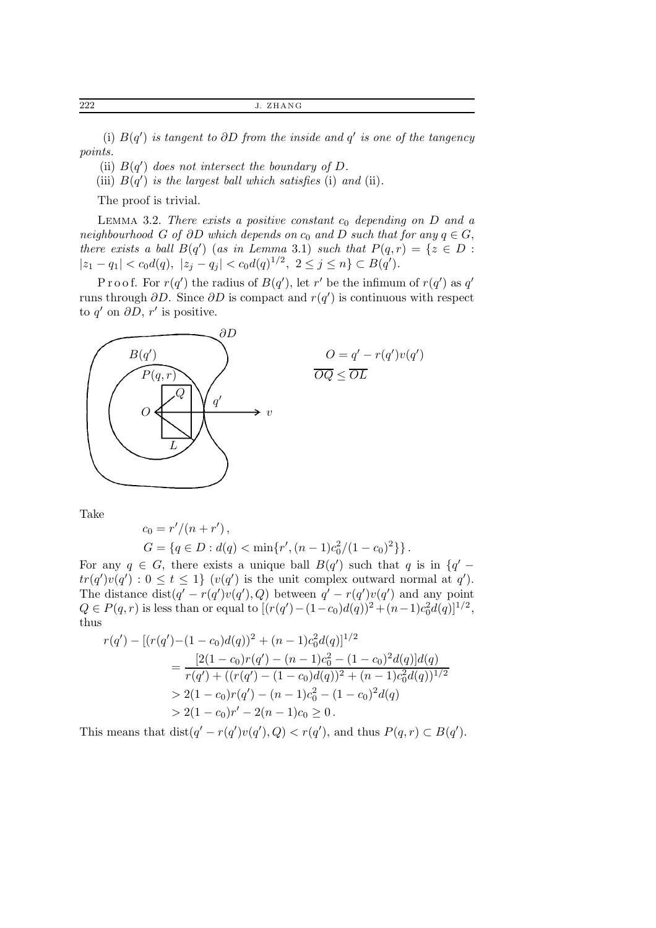222 J. ZHANG

(i)  $B(q')$  is tangent to  $\partial D$  from the inside and  $q'$  is one of the tangency points.

(ii)  $B(q')$  does not intersect the boundary of D.

(iii)  $B(q')$  is the largest ball which satisfies (i) and (ii).

The proof is trivial.

LEMMA 3.2. There exists a positive constant  $c_0$  depending on D and a neighbourhood G of ∂D which depends on  $c_0$  and D such that for any  $q \in G$ , there exists a ball  $B(q')$  (as in Lemma 3.1) such that  $P(q,r) = \{z \in D :$  $|z_1 - q_1| < c_0 d(q), |z_j - q_j| < c_0 d(q)^{1/2}, 2 \le j \le n$   $\subset B(q').$ 

Proof. For  $r(q')$  the radius of  $B(q')$ , let r' be the infimum of  $r(q')$  as q' runs through  $\partial D$ . Since  $\partial D$  is compact and  $r(q')$  is continuous with respect to  $q'$  on  $\partial D$ ,  $r'$  is positive.



Take

$$
c_0 = r'/(n+r'),
$$

$$
G = \{q \in D : d(q) < \min\{r', (n-1)c_0^2/(1-c_0)^2\}\}.
$$

For any  $q \in G$ , there exists a unique ball  $B(q')$  such that q is in  $\{q'$  $tr(q')v(q') : 0 \le t \le 1$   $(v(q')$  is the unit complex outward normal at q'). The distance  $dist(q' - r(q')v(q'), Q)$  between  $q' - r(q')v(q')$  and any point  $Q \in P(q, r)$  is less than or equal to  $[(r(q') - (1 - c_0)d(q))^2 + (n-1)c_0^2d(q)]^{1/2}$ , thus

$$
r(q') - [(r(q') - (1 - c_0)d(q))^2 + (n - 1)c_0^2d(q)]^{1/2}
$$
  
= 
$$
\frac{[2(1 - c_0)r(q') - (n - 1)c_0^2 - (1 - c_0)^2d(q)]d(q)}{r(q') + ((r(q') - (1 - c_0)d(q))^2 + (n - 1)c_0^2d(q))^{1/2}}
$$
  
> 
$$
2(1 - c_0)r(q') - (n - 1)c_0^2 - (1 - c_0)^2d(q)
$$
  
> 
$$
2(1 - c_0)r' - 2(n - 1)c_0 \ge 0.
$$

This means that  $dist(q' - r(q')v(q'), Q) < r(q')$ , and thus  $P(q, r) \subset B(q')$ .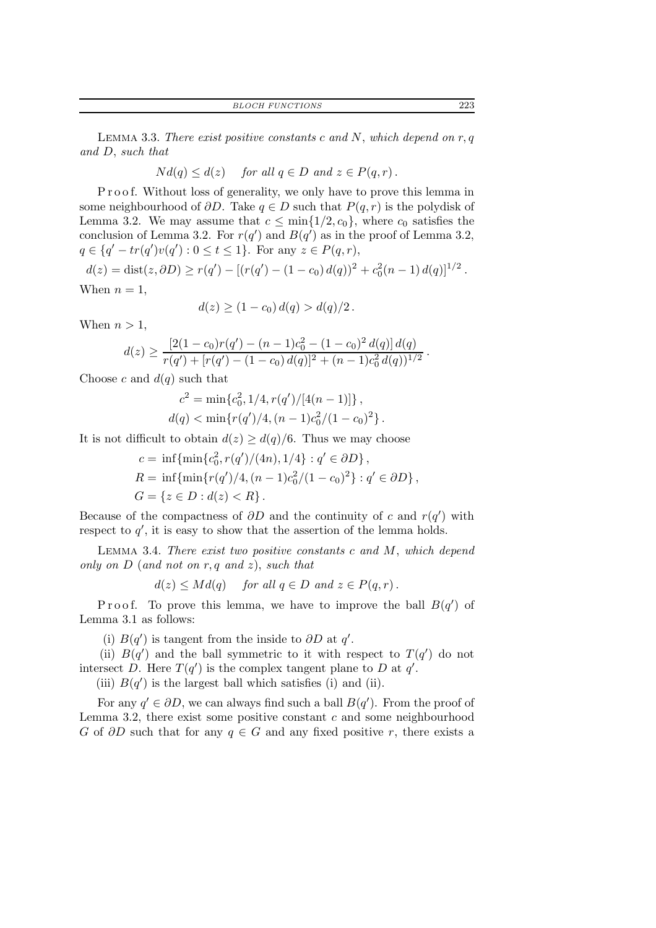BLOCH FUNCTIONS 223

LEMMA 3.3. There exist positive constants c and N, which depend on  $r, q$ and D, such that

$$
Nd(q) \leq d(z) \quad \text{ for all } q \in D \text{ and } z \in P(q,r) \, .
$$

P r o o f. Without loss of generality, we only have to prove this lemma in some neighbourhood of  $\partial D$ . Take  $q \in D$  such that  $P(q, r)$  is the polydisk of Lemma 3.2. We may assume that  $c \le \min\{1/2, c_0\}$ , where  $c_0$  satisfies the conclusion of Lemma 3.2. For  $r(q')$  and  $B(q')$  as in the proof of Lemma 3.2,  $q \in \{q' - tr(q')v(q') : 0 \le t \le 1\}.$  For any  $z \in P(q,r)$ ,

 $d(z) = \text{dist}(z, \partial D) \ge r(q') - [(r(q') - (1 - c_0) d(q))^2 + c_0^2(n-1) d(q)]^{1/2}.$ When  $n = 1$ ,

$$
d(z) \ge (1 - c_0) d(q) > d(q)/2.
$$

When  $n > 1$ ,

$$
d(z) \ge \frac{\left[2(1-c_0)r(q') - (n-1)c_0^2 - (1-c_0)^2 d(q)\right]d(q)}{r(q') + [r(q') - (1-c_0) d(q)]^2 + (n-1)c_0^2 d(q))^{1/2}}
$$

Choose c and  $d(q)$  such that

$$
c^{2} = \min\{c_{0}^{2}, 1/4, r(q')/[4(n-1)]\},\,
$$
  

$$
d(q) < \min\{r(q')/4, (n-1)c_{0}^{2}/(1-c_{0})^{2}\}.
$$

It is not difficult to obtain  $d(z) \geq d(q)/6$ . Thus we may choose

$$
c = \inf{\min\{c_0^2, r(q')/(4n), 1/4\} : q' \in \partial D\},
$$
  
\n
$$
R = \inf{\min\{r(q')/4, (n-1)c_0^2/(1-c_0)^2\} : q' \in \partial D\},
$$
  
\n
$$
G = \{z \in D : d(z) < R\}.
$$

Because of the compactness of  $\partial D$  and the continuity of c and  $r(q')$  with respect to  $q'$ , it is easy to show that the assertion of the lemma holds.

LEMMA 3.4. There exist two positive constants  $c$  and  $M$ , which depend only on  $D$  (and not on r, q and z), such that

$$
d(z) \leq Md(q) \quad \text{ for all } q \in D \text{ and } z \in P(q,r).
$$

Proof. To prove this lemma, we have to improve the ball  $B(q')$  of Lemma 3.1 as follows:

(i)  $B(q')$  is tangent from the inside to  $\partial D$  at q'.

(ii)  $B(q')$  and the ball symmetric to it with respect to  $T(q')$  do not intersect D. Here  $T(q')$  is the complex tangent plane to D at q'.

(iii)  $B(q')$  is the largest ball which satisfies (i) and (ii).

For any  $q' \in \partial D$ , we can always find such a ball  $B(q')$ . From the proof of Lemma 3.2, there exist some positive constant  $c$  and some neighbourhood G of  $\partial D$  such that for any  $q \in G$  and any fixed positive r, there exists a

.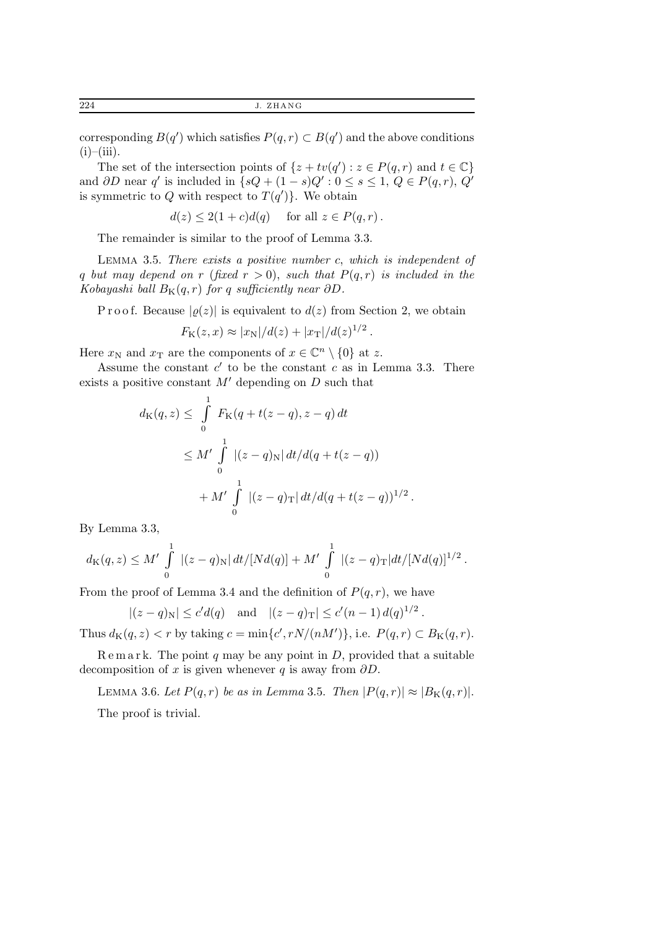corresponding  $B(q')$  which satisfies  $P(q, r) \subset B(q')$  and the above conditions  $(i)$ – $(iii)$ .

The set of the intersection points of  $\{z + tv(q'): z \in P(q,r) \text{ and } t \in \mathbb{C}\}\$ and  $\partial D$  near q' is included in  $\{sQ + (1-s)Q': 0 \le s \le 1, Q \in P(q,r), Q' \}$ is symmetric to Q with respect to  $T(q')$ . We obtain

$$
d(z) \le 2(1+c)d(q) \quad \text{ for all } z \in P(q,r).
$$

The remainder is similar to the proof of Lemma 3.3.

LEMMA 3.5. There exists a positive number  $c$ , which is independent of q but may depend on r (fixed  $r > 0$ ), such that  $P(q, r)$  is included in the Kobayashi ball  $B_K(q,r)$  for q sufficiently near ∂D.

P r o o f. Because  $|\rho(z)|$  is equivalent to  $d(z)$  from Section 2, we obtain

$$
F_{\rm K}(z,x) \approx |x_{\rm N}|/d(z) + |x_{\rm T}|/d(z)^{1/2}
$$
.

Here  $x_N$  and  $x_T$  are the components of  $x \in \mathbb{C}^n \setminus \{0\}$  at z.

Assume the constant  $c'$  to be the constant  $c$  as in Lemma 3.3. There exists a positive constant  $M'$  depending on  $D$  such that

$$
d_{\mathcal{K}}(q, z) \leq \int_{0}^{1} F_{\mathcal{K}}(q + t(z - q), z - q) dt
$$
  
\n
$$
\leq M' \int_{0}^{1} |(z - q)_{\mathcal{N}}| dt/d(q + t(z - q))
$$
  
\n
$$
+ M' \int_{0}^{1} |(z - q)_{\mathcal{K}}| dt/d(q + t(z - q))^{1/2}.
$$

By Lemma 3.3,

$$
d_{\mathcal{K}}(q,z) \leq M' \int_{0}^{1} |(z-q)_{\mathcal{N}}| dt/[Nd(q)] + M' \int_{0}^{1} |(z-q)_{\mathcal{T}}| dt/[Nd(q)]^{1/2}.
$$

From the proof of Lemma 3.4 and the definition of  $P(q, r)$ , we have

$$
|(z-q)_{\mathcal{N}}| \leq c'd(q)
$$
 and  $|(z-q)_{\mathcal{T}}| \leq c'(n-1) d(q)^{1/2}$ .

Thus  $d_K(q, z) < r$  by taking  $c = \min\{c', rN/(nM')\}$ , i.e.  $P(q, r) \subset B_K(q, r)$ .

 $R$  e m a r k. The point q may be any point in D, provided that a suitable decomposition of x is given whenever q is away from  $\partial D$ .

LEMMA 3.6. Let  $P(q,r)$  be as in Lemma 3.5. Then  $|P(q,r)| \approx |B_K(q,r)|$ . The proof is trivial.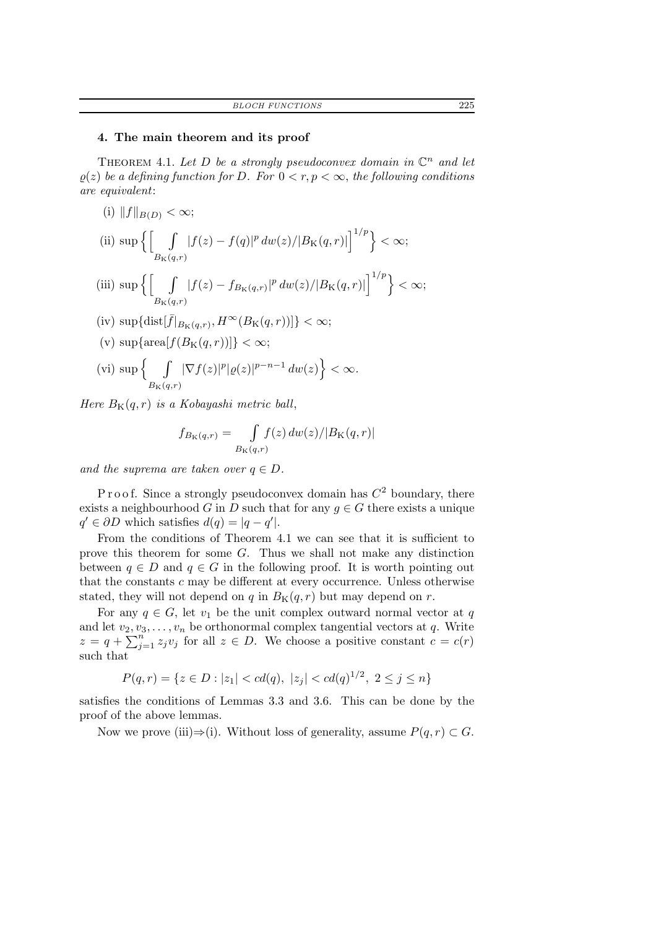## 4. The main theorem and its proof

THEOREM 4.1. Let D be a strongly pseudoconvex domain in  $\mathbb{C}^n$  and let  $\rho(z)$  be a defining function for D. For  $0 < r, p < \infty$ , the following conditions are equivalent:

(i)  $||f||_{B(D)} < \infty;$ (ii)  $\sup\left\{ \begin{bmatrix} \quad & \end{bmatrix} \right\}$  $B_{\rm K}(q,r)$  $|f(z) - f(q)|^p dw(z)/|B_K(q,r)| \Big]^{1/p} \Big\} < \infty;$ (iii) sup  $\left\{ \begin{bmatrix} 1 & 1 \\ 1 & 1 \end{bmatrix} \right\}$  $B_{\rm K}(q,r)$  $|f(z) - f_{B_{\text{K}}(q,r)}|^p dw(z)/|B_{\text{K}}(q,r)|\Big|^{1/p}\Big\}<\infty;$ (iv)  $\sup\{\text{dist}[f|_{B_K(q,r)}, H^{\infty}(B_K(q,r))]\}<\infty;$ (v)  $\sup{\arctan[f(B_K(q, r))]} < \infty;$ (vi) sup  $\begin{cases} & \end{cases}$  $B_{\rm K}(q,r)$  $|\nabla f(z)|^p |\varrho(z)|^{p-n-1} dw(z)\Big\} < \infty.$ 

Here  $B_K(q,r)$  is a Kobayashi metric ball,

$$
f_{B_{\mathcal{K}}(q,r)} = \int\limits_{B_{\mathcal{K}}(q,r)} f(z) \, dw(z) / |B_{\mathcal{K}}(q,r)|
$$

and the suprema are taken over  $q \in D$ .

Proof. Since a strongly pseudoconvex domain has  $C<sup>2</sup>$  boundary, there exists a neighbourhood G in D such that for any  $q \in G$  there exists a unique  $q' \in \partial D$  which satisfies  $d(q) = |q - q'|$ .

From the conditions of Theorem 4.1 we can see that it is sufficient to prove this theorem for some  $G$ . Thus we shall not make any distinction between  $q \in D$  and  $q \in G$  in the following proof. It is worth pointing out that the constants  $c$  may be different at every occurrence. Unless otherwise stated, they will not depend on q in  $B_K(q, r)$  but may depend on r.

For any  $q \in G$ , let  $v_1$  be the unit complex outward normal vector at q and let  $v_2, v_3, \ldots, v_n$  be orthonormal complex tangential vectors at q. Write  $z = q + \sum_{j=1}^{n} z_j v_j$  for all  $z \in D$ . We choose a positive constant  $c = c(r)$ such that

$$
P(q,r) = \{ z \in D : |z_1| < cd(q), \ |z_j| < cd(q)^{1/2}, \ 2 \le j \le n \}
$$

satisfies the conditions of Lemmas 3.3 and 3.6. This can be done by the proof of the above lemmas.

Now we prove (iii) $\Rightarrow$ (i). Without loss of generality, assume  $P(q, r) \subset G$ .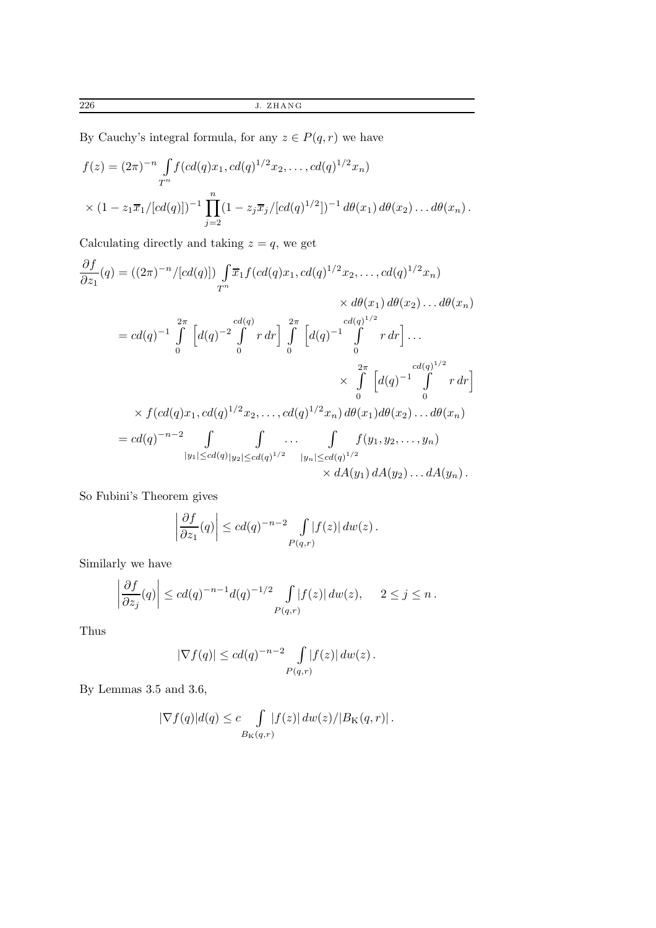By Cauchy's integral formula, for any  $z\in P(q,r)$  we have

$$
f(z) = (2\pi)^{-n} \int_{T^n} f(cd(q)x_1, cd(q)^{1/2}x_2, \dots, cd(q)^{1/2}x_n)
$$
  
 
$$
\times (1 - z_1\overline{x}_1/[cd(q)])^{-1} \prod_{j=2}^n (1 - z_j\overline{x}_j/[cd(q)^{1/2}])^{-1} d\theta(x_1) d\theta(x_2) \dots d\theta(x_n).
$$

Calculating directly and taking  $z = q$ , we get

$$
\frac{\partial f}{\partial z_1}(q) = ((2\pi)^{-n}/[cd(q)]) \int_{T^n} \overline{x}_1 f(cd(q)x_1, cd(q)^{1/2}x_2, ..., cd(q)^{1/2}x_n)
$$
\n
$$
\times d\theta(x_1) d\theta(x_2) ... d\theta(x_n)
$$
\n
$$
= cd(q)^{-1} \int_{0}^{2\pi} \left[ d(q)^{-2} \int_{0}^{cd(q)} r dr \right] \int_{0}^{2\pi} \left[ d(q)^{-1} \int_{0}^{cd(q)^{1/2}} r dr \right] ...
$$
\n
$$
\times \int_{0}^{2\pi} \left[ d(q)^{-1} \int_{0}^{cd(q)^{1/2}} r dr \right]
$$
\n
$$
\times f(cd(q)x_1, cd(q)^{1/2}x_2, ..., cd(q)^{1/2}x_n) d\theta(x_1) d\theta(x_2) ... d\theta(x_n)
$$
\n
$$
= cd(q)^{-n-2} \int_{|y_1| \le cd(q)|y_2| \le cd(q)^{1/2}} \int_{|y_n| \le cd(q)^{1/2}} f(y_1, y_2, ..., y_n)
$$
\n
$$
\times dA(y_1) dA(y_2) ... dA(y_n).
$$

So Fubini's Theorem gives

$$
\left|\frac{\partial f}{\partial z_1}(q)\right| \le c d(q)^{-n-2} \int\limits_{P(q,r)} |f(z)| \, dw(z) .
$$

Similarly we have

$$
\left|\frac{\partial f}{\partial z_j}(q)\right| \le c d(q)^{-n-1} d(q)^{-1/2} \int_{P(q,r)} |f(z)| \, dw(z), \quad 2 \le j \le n.
$$

Thus

$$
|\nabla f(q)| \leq c d(q)^{-n-2} \int\limits_{P(q,r)} |f(z)| \, dw(z) .
$$

By Lemmas 3.5 and 3.6,

$$
|\nabla f(q)|d(q) \leq c \int\limits_{B_{\mathrm{K}}(q,r)} |f(z)| \, dw(z)/|B_{\mathrm{K}}(q,r)|.
$$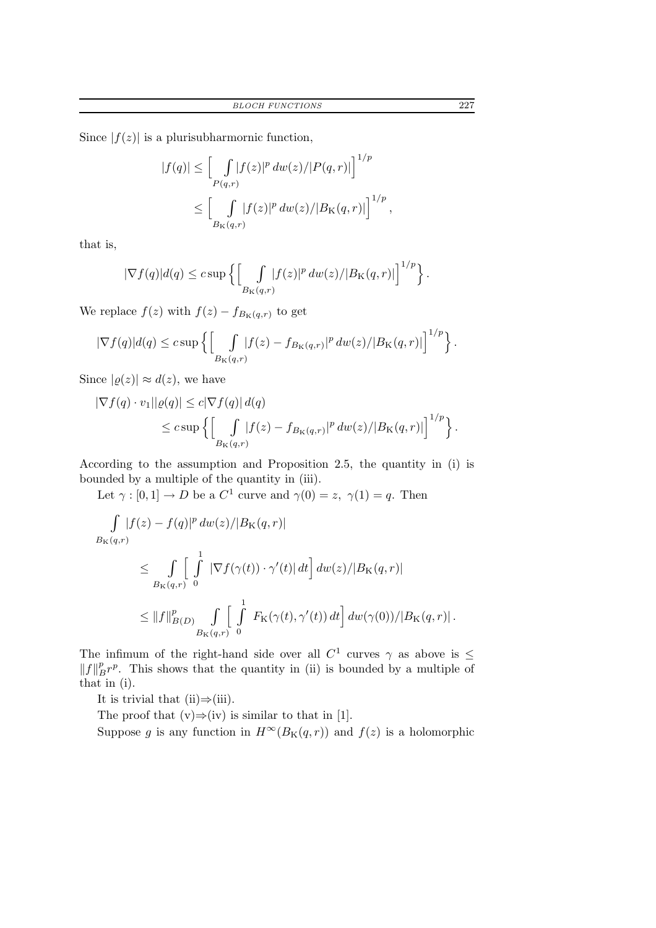Since  $|f(z)|$  is a plurisubharmornic function,

$$
|f(q)| \leq \left[\int_{P(q,r)} |f(z)|^p dw(z)/|P(q,r)|\right]^{1/p}
$$
  

$$
\leq \left[\int_{B_{\mathcal{K}}(q,r)} |f(z)|^p dw(z)/|B_{\mathcal{K}}(q,r)|\right]^{1/p},
$$

that is,

$$
|\nabla f(q)|d(q) \leq c \sup \left\{ \left[ \int\limits_{B_{\mathrm{K}}(q,r)} |f(z)|^p dw(z)/|B_{\mathrm{K}}(q,r)| \right]^{1/p} \right\}.
$$

We replace  $f(z)$  with  $f(z) - f_{B_K(q,r)}$  to get

$$
|\nabla f(q)|d(q) \leq c \sup \left\{ \left[ \int\limits_{B_{\mathrm{K}}(q,r)} |f(z) - f_{B_{\mathrm{K}}(q,r)}|^p dw(z)/|B_{\mathrm{K}}(q,r)| \right]^{1/p} \right\}.
$$

Since  $|\rho(z)| \approx d(z)$ , we have

$$
\begin{aligned} |\nabla f(q) \cdot v_1||\varrho(q)| &\leq c|\nabla f(q)| d(q) \\ &\leq c \sup \left\{ \left[ \int\limits_{B_{\mathrm{K}}(q,r)} |f(z) - f_{B_{\mathrm{K}}(q,r)}|^p dw(z)/|B_{\mathrm{K}}(q,r)| \right]^{1/p} \right\}. \end{aligned}
$$

According to the assumption and Proposition 2.5, the quantity in (i) is bounded by a multiple of the quantity in (iii).

Let  $\gamma : [0,1] \to D$  be a  $C^1$  curve and  $\gamma(0) = z$ ,  $\gamma(1) = q$ . Then

$$
\int_{B_{\mathcal{K}}(q,r)} |f(z) - f(q)|^p dw(z)/|B_{\mathcal{K}}(q,r)|
$$
\n
$$
\leq \int_{B_{\mathcal{K}}(q,r)} \left[ \int_{B_{\mathcal{K}}(q,r)}^1 |\nabla f(\gamma(t)) \cdot \gamma'(t)| dt \right] dw(z)/|B_{\mathcal{K}}(q,r)|
$$
\n
$$
\leq ||f||_{B(D)}^p \int_{B_{\mathcal{K}}(q,r)} \left[ \int_{B_{\mathcal{K}}(q,r)}^1 F_{\mathcal{K}}(\gamma(t), \gamma'(t)) dt \right] dw(\gamma(0))/|B_{\mathcal{K}}(q,r)|.
$$

The infimum of the right-hand side over all  $C^1$  curves  $\gamma$  as above is  $\leq$  $||f||_B^p r^p$ . This shows that the quantity in (ii) is bounded by a multiple of that in (i).

It is trivial that  $(ii) \Rightarrow (iii)$ .

The proof that  $(v) \Rightarrow (iv)$  is similar to that in [1].

Suppose g is any function in  $H^{\infty}(B_{K}(q, r))$  and  $f(z)$  is a holomorphic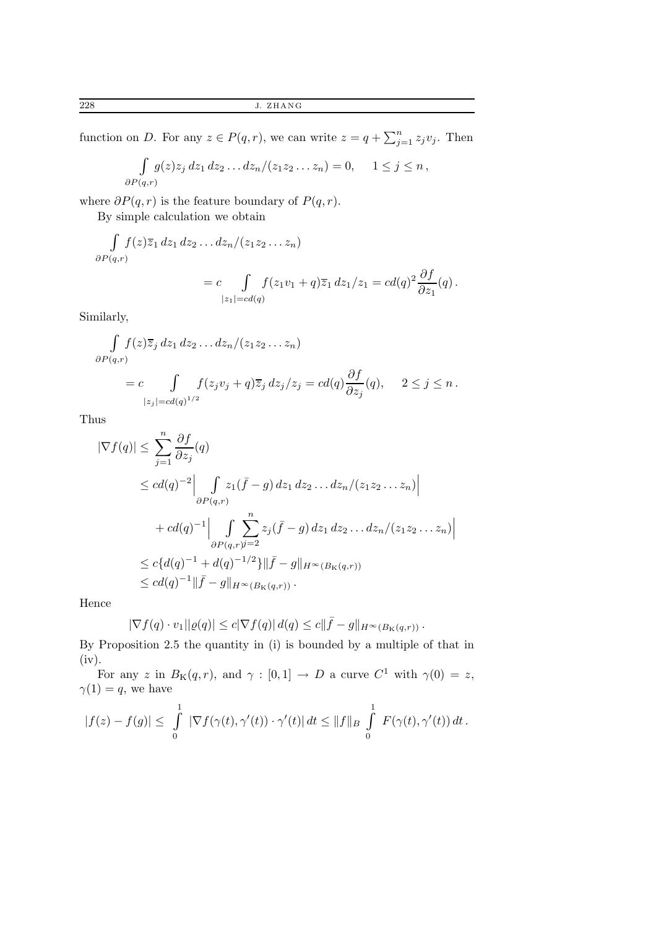function on D. For any  $z \in P(q,r)$ , we can write  $z = q + \sum_{j=1}^{n} z_j v_j$ . Then

$$
\int_{\partial P(q,r)} g(z) z_j dz_1 dz_2 \dots dz_n/(z_1 z_2 \dots z_n) = 0, \quad 1 \le j \le n,
$$

where  $\partial P(q,r)$  is the feature boundary of  $P(q,r)$ .

By simple calculation we obtain

$$
\int_{\partial P(q,r)} f(z)\overline{z}_1 dz_1 dz_2 \dots dz_n/(z_1 z_2 \dots z_n)
$$
  
= 
$$
c \int_{|z_1| = cd(q)} f(z_1 v_1 + q) \overline{z}_1 dz_1/z_1 = cd(q)^2 \frac{\partial f}{\partial z_1}(q).
$$

Similarly,

$$
\int_{\partial P(q,r)} f(z)\overline{z}_j dz_1 dz_2 \dots dz_n/(z_1 z_2 \dots z_n)
$$
  
= c 
$$
\int_{|z_j| = cd(q)^{1/2}} f(z_j v_j + q) \overline{z}_j dz_j/z_j = cd(q) \frac{\partial f}{\partial z_j}(q), \quad 2 \le j \le n.
$$

Thus

$$
|\nabla f(q)| \leq \sum_{j=1}^{n} \frac{\partial f}{\partial z_j}(q)
$$
  
\n
$$
\leq cd(q)^{-2} \Big| \int_{\partial P(q,r)} z_1(\bar{f} - g) dz_1 dz_2 ... dz_n/(z_1 z_2 ... z_n) \Big|
$$
  
\n
$$
+ cd(q)^{-1} \Big| \int_{\partial P(q,r)} \sum_{j=2}^{n} z_j(\bar{f} - g) dz_1 dz_2 ... dz_n/(z_1 z_2 ... z_n) \Big|
$$
  
\n
$$
\leq c \{d(q)^{-1} + d(q)^{-1/2}\} \|\bar{f} - g\|_{H^{\infty}(B_{K}(q,r))}
$$
  
\n
$$
\leq cd(q)^{-1} \|\bar{f} - g\|_{H^{\infty}(B_{K}(q,r))}.
$$

Hence

$$
|\nabla f(q) \cdot v_1||\varrho(q)| \leq c|\nabla f(q)| d(q) \leq c||\bar{f} - g||_{H^{\infty}(B_{\mathcal{K}}(q,r))}.
$$

By Proposition 2.5 the quantity in (i) is bounded by a multiple of that in (iv).

For any z in  $B_K(q,r)$ , and  $\gamma : [0,1] \to D$  a curve  $C^1$  with  $\gamma(0) = z$ ,  $\gamma(1) = q$ , we have

$$
|f(z) - f(g)| \leq \int_{0}^{1} |\nabla f(\gamma(t), \gamma'(t)) \cdot \gamma'(t)| dt \leq ||f||_{B} \int_{0}^{1} F(\gamma(t), \gamma'(t)) dt.
$$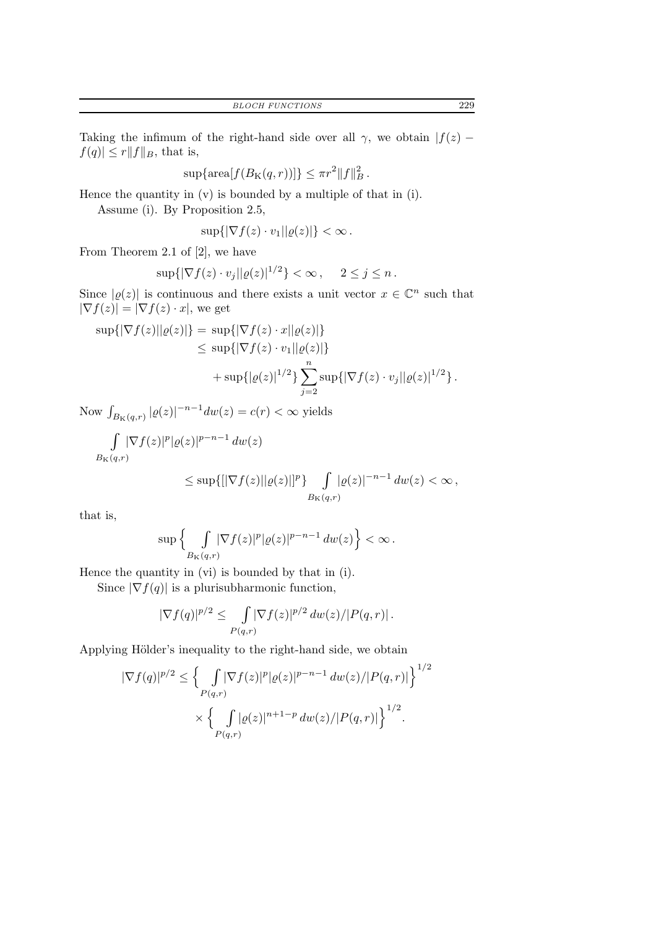Taking the infimum of the right-hand side over all  $\gamma$ , we obtain  $|f(z) |f(q)| \leq r ||f||_B$ , that is,

$$
\sup\{\text{area}[f(B_K(q,r))]\}\leq \pi r^2 \|f\|_B^2.
$$

Hence the quantity in (v) is bounded by a multiple of that in (i).

Assume (i). By Proposition 2.5,

$$
\sup\{|\nabla f(z)\cdot v_1||\varrho(z)|\}<\infty.
$$

From Theorem 2.1 of [2], we have

$$
\sup\{|\nabla f(z)\cdot v_j||\varrho(z)|^{1/2}\} < \infty\,,\quad 2\leq j\leq n\,.
$$

Since  $|\varrho(z)|$  is continuous and there exists a unit vector  $x \in \mathbb{C}^n$  such that  $|\nabla f(z)| = |\nabla f(z) \cdot x|$ , we get

$$
\sup\{|\nabla f(z)||\varrho(z)|\} = \sup\{|\nabla f(z) \cdot x||\varrho(z)|\}
$$
  
\n
$$
\leq \sup\{|\nabla f(z) \cdot v_1||\varrho(z)|\}
$$
  
\n
$$
+ \sup\{|\varrho(z)|^{1/2}\} \sum_{j=2}^n \sup\{|\nabla f(z) \cdot v_j||\varrho(z)|^{1/2}\}.
$$

Now  $\int_{B_K(q,r)} |\varrho(z)|^{-n-1} dw(z) = c(r) < \infty$  yields

$$
\int\limits_{B_{\mathrm{K}}(q,r)} |\nabla f(z)|^p |\varrho(z)|^{p-n-1} dw(z)
$$

$$
\leq \sup\{||\nabla f(z)||\varrho(z)||^p\}\int\limits_{B_{\mathbf{K}}(q,r)}|\varrho(z)|^{-n-1} dw(z) < \infty,
$$

that is,

$$
\sup\Big\{\int\limits_{B_{\mathrm K}(q,r)}\!\!|\nabla f(z)|^p|\varrho(z)|^{p-n-1}\,dw(z)\Big\}<\infty\,.
$$

Hence the quantity in (vi) is bounded by that in (i).

Since  $|\nabla f(q)|$  is a plurisubharmonic function,

$$
|\nabla f(q)|^{p/2} \le \int_{P(q,r)} |\nabla f(z)|^{p/2} \, dw(z) / |P(q,r)|.
$$

Applying Hölder's inequality to the right-hand side, we obtain

$$
|\nabla f(q)|^{p/2} \leq \left\{ \int_{P(q,r)} |\nabla f(z)|^p |\varrho(z)|^{p-n-1} dw(z)/|P(q,r)| \right\}^{1/2}
$$

$$
\times \left\{ \int_{P(q,r)} |\varrho(z)|^{n+1-p} dw(z)/|P(q,r)| \right\}^{1/2}.
$$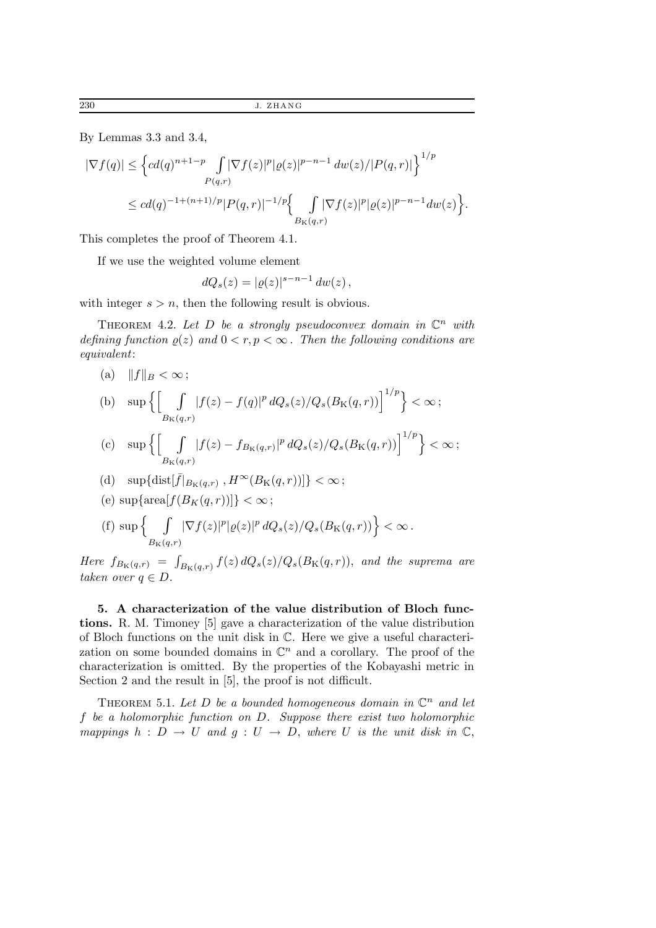By Lemmas 3.3 and 3.4,

$$
|\nabla f(q)| \leq \left\{ c d(q)^{n+1-p} \int_{P(q,r)} |\nabla f(z)|^p |\varrho(z)|^{p-n-1} dw(z)/|P(q,r)| \right\}^{1/p}
$$
  

$$
\leq c d(q)^{-1+(n+1)/p} |P(q,r)|^{-1/p} \left\{ \int_{B_{\mathcal{K}}(q,r)} |\nabla f(z)|^p |\varrho(z)|^{p-n-1} dw(z) \right\}.
$$

This completes the proof of Theorem 4.1.

If we use the weighted volume element

$$
dQ_s(z) = |\varrho(z)|^{s-n-1} dw(z) ,
$$

with integer  $s > n$ , then the following result is obvious.

THEOREM 4.2. Let D be a strongly pseudoconvex domain in  $\mathbb{C}^n$  with defining function  $\rho(z)$  and  $0 < r, p < \infty$ . Then the following conditions are equivalent:

(a)  $||f||_B < \infty;$ 

(b) 
$$
\sup \left\{ \left[ \int\limits_{B_{\mathrm{K}}(q,r)} |f(z) - f(q)|^p \, dQ_s(z) / Q_s(B_{\mathrm{K}}(q,r)) \right]^{1/p} \right\} < \infty;
$$

$$
\text{(c)} \quad \sup\left\{ \left[ \int\limits_{B_{\mathrm{K}}(q,r)} |f(z) - f_{B_{\mathrm{K}}(q,r)}|^p \, dQ_s(z) / Q_s(B_{\mathrm{K}}(q,r)) \right]^{1/p} \right\} < \infty \, ;
$$

- (d)  $\sup{\{\text{dist}[\bar{f}|_{B_K(q,r)},H^{\infty}(B_K(q,r))]\}} < \infty;$
- (e)  $\sup{\arctan[f(B_K(q, r))] \leq \infty}$ ;

(f) 
$$
\sup \left\{ \int\limits_{B_{\mathrm{K}}(q,r)} |\nabla f(z)|^p |\varrho(z)|^p dQ_s(z)/Q_s(B_{\mathrm{K}}(q,r)) \right\} < \infty.
$$

Here  $f_{B_{\mathbf{K}}(q,r)} = \int_{B_{\mathbf{K}}(q,r)} f(z) dQ_s(z) / Q_s(B_{\mathbf{K}}(q,r)),$  and the suprema are taken over  $q \in D$ .

5. A characterization of the value distribution of Bloch functions. R. M. Timoney [5] gave a characterization of the value distribution of Bloch functions on the unit disk in C. Here we give a useful characterization on some bounded domains in  $\mathbb{C}^n$  and a corollary. The proof of the characterization is omitted. By the properties of the Kobayashi metric in Section 2 and the result in [5], the proof is not difficult.

THEOREM 5.1. Let D be a bounded homogeneous domain in  $\mathbb{C}^n$  and let f be a holomorphic function on D. Suppose there exist two holomorphic mappings  $h : D \to U$  and  $g : U \to D$ , where U is the unit disk in  $\mathbb{C}$ ,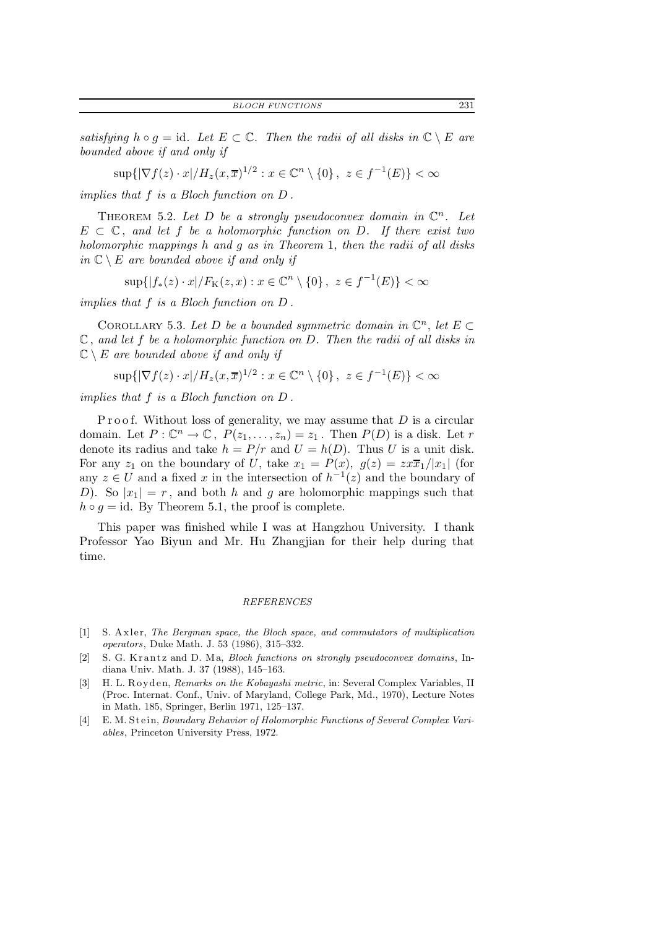satisfying  $h \circ g = id$ . Let  $E \subset \mathbb{C}$ . Then the radii of all disks in  $\mathbb{C} \setminus E$  are bounded above if and only if

$$
\sup\{|\nabla f(z) \cdot x| / H_z(x,\overline{x})^{1/2} : x \in \mathbb{C}^n \setminus \{0\}, \ z \in f^{-1}(E)\} < \infty
$$

implies that f is a Bloch function on D .

THEOREM 5.2. Let D be a strongly pseudoconvex domain in  $\mathbb{C}^n$ . Let  $E \subset \mathbb{C}$ , and let f be a holomorphic function on D. If there exist two holomorphic mappings h and g as in Theorem 1, then the radii of all disks in  $\mathbb{C} \setminus E$  are bounded above if and only if

 $\sup\{|f_*(z) \cdot x| / F_K(z, x) : x \in \mathbb{C}^n \setminus \{0\}, \ z \in f^{-1}(E)\} < \infty$ 

implies that f is a Bloch function on D .

COROLLARY 5.3. Let D be a bounded symmetric domain in  $\mathbb{C}^n$ , let  $E \subset$  $\mathbb C$ , and let f be a holomorphic function on D. Then the radii of all disks in  $\mathbb{C} \setminus E$  are bounded above if and only if

$$
\sup\{|\nabla f(z) \cdot x| / H_z(x,\overline{x})^{1/2} : x \in \mathbb{C}^n \setminus \{0\}, \ z \in f^{-1}(E)\} < \infty
$$

implies that f is a Bloch function on D .

P r o o f. Without loss of generality, we may assume that  $D$  is a circular domain. Let  $P: \mathbb{C}^n \to \mathbb{C}$ ,  $P(z_1, \ldots, z_n) = z_1$ . Then  $P(D)$  is a disk. Let r denote its radius and take  $h = P/r$  and  $U = h(D)$ . Thus U is a unit disk. For any  $z_1$  on the boundary of U, take  $x_1 = P(x)$ ,  $g(z) = zx\overline{x}_1/|x_1|$  (for any  $z \in U$  and a fixed x in the intersection of  $h^{-1}(z)$  and the boundary of D). So  $|x_1| = r$ , and both h and g are holomorphic mappings such that  $h \circ g = id$ . By Theorem 5.1, the proof is complete.

This paper was finished while I was at Hangzhou University. I thank Professor Yao Biyun and Mr. Hu Zhangjian for their help during that time.

#### REFERENCES

- [1] S. Axler, The Bergman space, the Bloch space, and commutators of multiplication operators, Duke Math. J. 53 (1986), 315–332.
- [2] S. G. Krantz and D. Ma, Bloch functions on strongly pseudoconvex domains, Indiana Univ. Math. J. 37 (1988), 145–163.
- [3] H. L. Royden, Remarks on the Kobayashi metric, in: Several Complex Variables, II (Proc. Internat. Conf., Univ. of Maryland, College Park, Md., 1970), Lecture Notes in Math. 185, Springer, Berlin 1971, 125–137.
- [4] E. M. Stein, Boundary Behavior of Holomorphic Functions of Several Complex Variables, Princeton University Press, 1972.